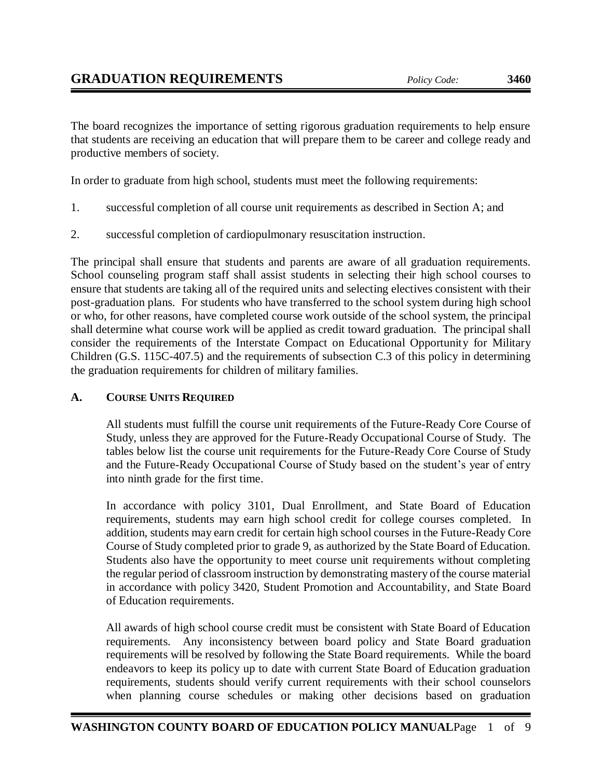The board recognizes the importance of setting rigorous graduation requirements to help ensure that students are receiving an education that will prepare them to be career and college ready and productive members of society.

In order to graduate from high school, students must meet the following requirements:

- 1. successful completion of all course unit requirements as described in Section A; and
- 2. successful completion of cardiopulmonary resuscitation instruction.

The principal shall ensure that students and parents are aware of all graduation requirements. School counseling program staff shall assist students in selecting their high school courses to ensure that students are taking all of the required units and selecting electives consistent with their post-graduation plans. For students who have transferred to the school system during high school or who, for other reasons, have completed course work outside of the school system, the principal shall determine what course work will be applied as credit toward graduation. The principal shall consider the requirements of the Interstate Compact on Educational Opportunity for Military Children (G.S. 115C-407.5) and the requirements of subsection C.3 of this policy in determining the graduation requirements for children of military families.

## **A. COURSE UNITS REQUIRED**

All students must fulfill the course unit requirements of the Future-Ready Core Course of Study, unless they are approved for the Future-Ready Occupational Course of Study. The tables below list the course unit requirements for the Future-Ready Core Course of Study and the Future-Ready Occupational Course of Study based on the student's year of entry into ninth grade for the first time.

In accordance with policy 3101, Dual Enrollment, and State Board of Education requirements, students may earn high school credit for college courses completed. In addition, students may earn credit for certain high school courses in the Future-Ready Core Course of Study completed prior to grade 9, as authorized by the State Board of Education. Students also have the opportunity to meet course unit requirements without completing the regular period of classroom instruction by demonstrating mastery of the course material in accordance with policy 3420, Student Promotion and Accountability, and State Board of Education requirements.

All awards of high school course credit must be consistent with State Board of Education requirements. Any inconsistency between board policy and State Board graduation requirements will be resolved by following the State Board requirements. While the board endeavors to keep its policy up to date with current State Board of Education graduation requirements, students should verify current requirements with their school counselors when planning course schedules or making other decisions based on graduation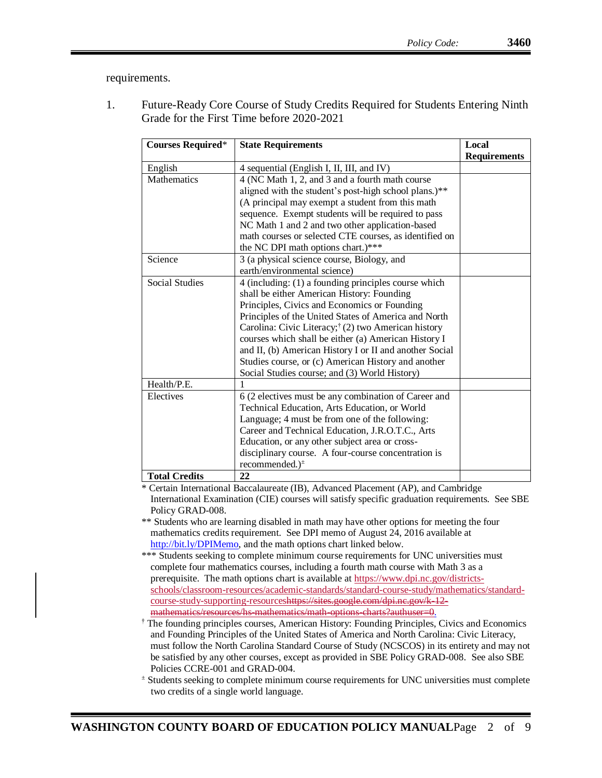requirements.

1. Future-Ready Core Course of Study Credits Required for Students Entering Ninth Grade for the First Time before 2020-2021

| <b>Courses Required*</b> | <b>State Requirements</b>                                       | Local               |
|--------------------------|-----------------------------------------------------------------|---------------------|
|                          |                                                                 | <b>Requirements</b> |
| English                  | 4 sequential (English I, II, III, and IV)                       |                     |
| Mathematics              | 4 (NC Math 1, 2, and 3 and a fourth math course                 |                     |
|                          | aligned with the student's post-high school plans.)**           |                     |
|                          | (A principal may exempt a student from this math                |                     |
|                          | sequence. Exempt students will be required to pass              |                     |
|                          | NC Math 1 and 2 and two other application-based                 |                     |
|                          | math courses or selected CTE courses, as identified on          |                     |
|                          | the NC DPI math options chart.)***                              |                     |
| Science                  | 3 (a physical science course, Biology, and                      |                     |
|                          | earth/environmental science)                                    |                     |
| <b>Social Studies</b>    | 4 (including: (1) a founding principles course which            |                     |
|                          | shall be either American History: Founding                      |                     |
|                          | Principles, Civics and Economics or Founding                    |                     |
|                          | Principles of the United States of America and North            |                     |
|                          | Carolina: Civic Literacy; <sup>†</sup> (2) two American history |                     |
|                          | courses which shall be either (a) American History I            |                     |
|                          | and II, (b) American History I or II and another Social         |                     |
|                          | Studies course, or (c) American History and another             |                     |
|                          | Social Studies course; and (3) World History)                   |                     |
| Health/P.E.              | 1                                                               |                     |
| Electives                | 6 (2 electives must be any combination of Career and            |                     |
|                          | Technical Education, Arts Education, or World                   |                     |
|                          | Language; 4 must be from one of the following:                  |                     |
|                          | Career and Technical Education, J.R.O.T.C., Arts                |                     |
|                          | Education, or any other subject area or cross-                  |                     |
|                          | disciplinary course. A four-course concentration is             |                     |
|                          | recommended.) <sup>*</sup>                                      |                     |
| <b>Total Credits</b>     | 22                                                              |                     |

\* Certain International Baccalaureate (IB), Advanced Placement (AP), and Cambridge International Examination (CIE) courses will satisfy specific graduation requirements. See SBE Policy GRAD-008.

\*\* Students who are learning disabled in math may have other options for meeting the four mathematics credits requirement. See DPI memo of August 24, 2016 available at [http://bit.ly/DPIMemo,](http://bit.ly/DPIMemo) and the math options chart linked below.

- \*\*\* Students seeking to complete minimum course requirements for UNC universities must complete four mathematics courses, including a fourth math course with Math 3 as a prerequisite. The math options chart is available at [https://www.dpi.nc.gov/districts](https://www.dpi.nc.gov/districts-schools/classroom-resources/academic-standards/standard-course-study/mathematics/standard-course-study-supporting-resources)[schools/classroom-resources/academic-standards/standard-course-study/mathematics/standard](https://www.dpi.nc.gov/districts-schools/classroom-resources/academic-standards/standard-course-study/mathematics/standard-course-study-supporting-resources)[course-study-supporting-resourcesh](https://www.dpi.nc.gov/districts-schools/classroom-resources/academic-standards/standard-course-study/mathematics/standard-course-study-supporting-resources)ttps://sites.google.com/dpi.nc.gov/k-12 mathematics/resources/hs-mathematics/math-options-charts?authuser=0.
- † The founding principles courses, American History: Founding Principles, Civics and Economics and Founding Principles of the United States of America and North Carolina: Civic Literacy, must follow the North Carolina Standard Course of Study (NCSCOS) in its entirety and may not be satisfied by any other courses, except as provided in SBE Policy GRAD-008. See also SBE Policies CCRE-001 and GRAD-004.
- <sup>±</sup> Students seeking to complete minimum course requirements for UNC universities must complete two credits of a single world language.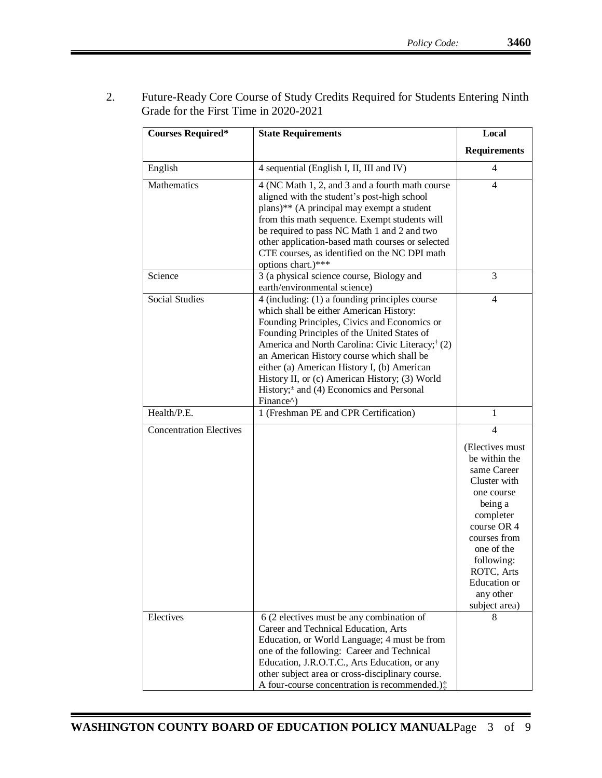2. Future-Ready Core Course of Study Credits Required for Students Entering Ninth Grade for the First Time in 2020-2021

| <b>Courses Required*</b>       | <b>State Requirements</b>                                                                                                                                                                                                                                                                                                                                                                                                                                            | Local                                                                                                                                                                                                                                           |
|--------------------------------|----------------------------------------------------------------------------------------------------------------------------------------------------------------------------------------------------------------------------------------------------------------------------------------------------------------------------------------------------------------------------------------------------------------------------------------------------------------------|-------------------------------------------------------------------------------------------------------------------------------------------------------------------------------------------------------------------------------------------------|
|                                |                                                                                                                                                                                                                                                                                                                                                                                                                                                                      | <b>Requirements</b>                                                                                                                                                                                                                             |
| English                        | 4 sequential (English I, II, III and IV)                                                                                                                                                                                                                                                                                                                                                                                                                             | 4                                                                                                                                                                                                                                               |
| Mathematics                    | 4 (NC Math 1, 2, and 3 and a fourth math course<br>aligned with the student's post-high school<br>plans)** (A principal may exempt a student<br>from this math sequence. Exempt students will<br>be required to pass NC Math 1 and 2 and two<br>other application-based math courses or selected<br>CTE courses, as identified on the NC DPI math<br>options chart.)***                                                                                              | $\overline{4}$                                                                                                                                                                                                                                  |
| Science                        | 3 (a physical science course, Biology and<br>earth/environmental science)                                                                                                                                                                                                                                                                                                                                                                                            | 3                                                                                                                                                                                                                                               |
| <b>Social Studies</b>          | 4 (including: (1) a founding principles course<br>which shall be either American History:<br>Founding Principles, Civics and Economics or<br>Founding Principles of the United States of<br>America and North Carolina: Civic Literacy; <sup>†</sup> (2)<br>an American History course which shall be<br>either (a) American History I, (b) American<br>History II, or (c) American History; (3) World<br>History; $\pm$ and (4) Economics and Personal<br>Finance^) | 4                                                                                                                                                                                                                                               |
| Health/P.E.                    | 1 (Freshman PE and CPR Certification)                                                                                                                                                                                                                                                                                                                                                                                                                                | 1                                                                                                                                                                                                                                               |
| <b>Concentration Electives</b> |                                                                                                                                                                                                                                                                                                                                                                                                                                                                      | $\overline{4}$<br>(Electives must)<br>be within the<br>same Career<br>Cluster with<br>one course<br>being a<br>completer<br>course OR 4<br>courses from<br>one of the<br>following:<br>ROTC, Arts<br>Education or<br>any other<br>subject area) |
| Electives                      | 6 (2 electives must be any combination of<br>Career and Technical Education, Arts<br>Education, or World Language; 4 must be from<br>one of the following: Career and Technical<br>Education, J.R.O.T.C., Arts Education, or any<br>other subject area or cross-disciplinary course.<br>A four-course concentration is recommended.):                                                                                                                                | 8                                                                                                                                                                                                                                               |

Ξ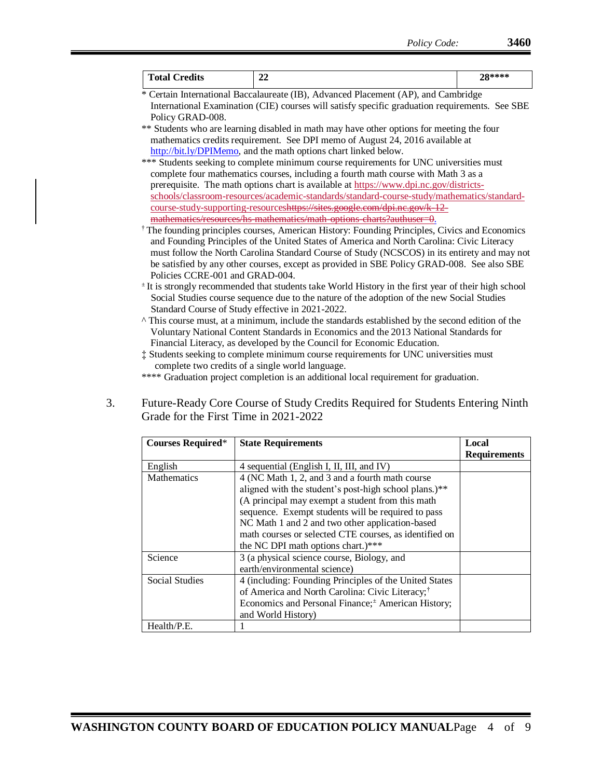| <b>Total Credits</b>                                                                       | 22                                                                                                                                                                                   | 28**** |
|--------------------------------------------------------------------------------------------|--------------------------------------------------------------------------------------------------------------------------------------------------------------------------------------|--------|
| * Certain International Baccalaureate (IB), Advanced Placement (AP), and Cambridge         |                                                                                                                                                                                      |        |
|                                                                                            | International Examination (CIE) courses will satisfy specific graduation requirements. See SBE                                                                                       |        |
| Policy GRAD-008.                                                                           |                                                                                                                                                                                      |        |
|                                                                                            | ** Students who are learning disabled in math may have other options for meeting the four                                                                                            |        |
|                                                                                            | mathematics credits requirement. See DPI memo of August 24, 2016 available at                                                                                                        |        |
|                                                                                            | http://bit.ly/DPIMemo, and the math options chart linked below.                                                                                                                      |        |
|                                                                                            | *** Students seeking to complete minimum course requirements for UNC universities must                                                                                               |        |
|                                                                                            | complete four mathematics courses, including a fourth math course with Math 3 as a                                                                                                   |        |
|                                                                                            | prerequisite. The math options chart is available at https://www.dpi.nc.gov/districts-<br>schools/classroom-resources/academic-standards/standard-course-study/mathematics/standard- |        |
|                                                                                            | course-study-supporting-resourceshttps://sites.google.com/dpi.nc.gov/k 12                                                                                                            |        |
|                                                                                            | mathematics/resources/hs mathematics/math options charts?authuser=0.                                                                                                                 |        |
|                                                                                            | <sup>†</sup> The founding principles courses, American History: Founding Principles, Civics and Economics                                                                            |        |
|                                                                                            | and Founding Principles of the United States of America and North Carolina: Civic Literacy                                                                                           |        |
|                                                                                            | must follow the North Carolina Standard Course of Study (NCSCOS) in its entirety and may not                                                                                         |        |
| be satisfied by any other courses, except as provided in SBE Policy GRAD-008. See also SBE |                                                                                                                                                                                      |        |
| Policies CCRE-001 and GRAD-004.                                                            |                                                                                                                                                                                      |        |
|                                                                                            | <sup>±</sup> It is strongly recommended that students take World History in the first year of their high school                                                                      |        |
|                                                                                            | Social Studies course sequence due to the nature of the adoption of the new Social Studies                                                                                           |        |
| Standard Course of Study effective in 2021-2022.                                           |                                                                                                                                                                                      |        |
|                                                                                            | ^ This course must, at a minimum, include the standards established by the second edition of the                                                                                     |        |
|                                                                                            | Voluntary National Content Standards in Economics and the 2013 National Standards for                                                                                                |        |
|                                                                                            | Financial Literacy, as developed by the Council for Economic Education.                                                                                                              |        |
|                                                                                            | : Students seeking to complete minimum course requirements for UNC universities must                                                                                                 |        |
| complete two credits of a single world language.                                           |                                                                                                                                                                                      |        |
|                                                                                            | **** Graduation project completion is an additional local requirement for graduation.                                                                                                |        |

## 3. Future-Ready Core Course of Study Credits Required for Students Entering Ninth Grade for the First Time in 2021-2022

| <b>Courses Required*</b> | <b>State Requirements</b>                                      | Local               |
|--------------------------|----------------------------------------------------------------|---------------------|
|                          |                                                                | <b>Requirements</b> |
| English                  | 4 sequential (English I, II, III, and IV)                      |                     |
| Mathematics              | 4 (NC Math 1, 2, and 3 and a fourth math course                |                     |
|                          | aligned with the student's post-high school plans.)**          |                     |
|                          | (A principal may exempt a student from this math               |                     |
|                          | sequence. Exempt students will be required to pass             |                     |
|                          | NC Math 1 and 2 and two other application-based                |                     |
|                          | math courses or selected CTE courses, as identified on         |                     |
|                          | the NC DPI math options chart.)***                             |                     |
| Science                  | 3 (a physical science course, Biology, and                     |                     |
|                          | earth/environmental science)                                   |                     |
| <b>Social Studies</b>    | 4 (including: Founding Principles of the United States         |                     |
|                          | of America and North Carolina: Civic Literacy; <sup>†</sup>    |                     |
|                          | Economics and Personal Finance; <sup>±</sup> American History; |                     |
|                          | and World History)                                             |                     |
| Health/P.E.              |                                                                |                     |

Ξ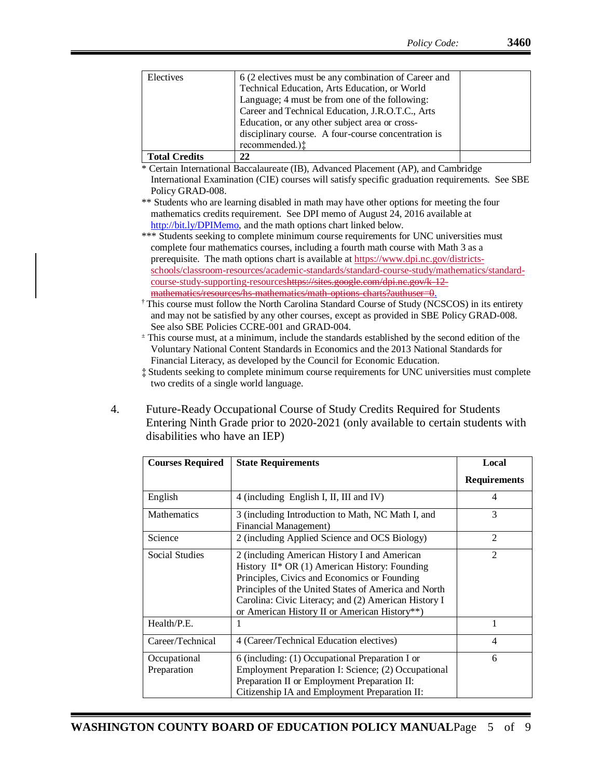| Electives            | 6 (2 electives must be any combination of Career and |  |
|----------------------|------------------------------------------------------|--|
|                      | Technical Education, Arts Education, or World        |  |
|                      | Language; 4 must be from one of the following:       |  |
|                      | Career and Technical Education, J.R.O.T.C., Arts     |  |
|                      | Education, or any other subject area or cross-       |  |
|                      | disciplinary course. A four-course concentration is  |  |
|                      | recommended.):                                       |  |
| <b>Total Credits</b> | 22                                                   |  |

\* Certain International Baccalaureate (IB), Advanced Placement (AP), and Cambridge International Examination (CIE) courses will satisfy specific graduation requirements. See SBE Policy GRAD-008.

\*\* Students who are learning disabled in math may have other options for meeting the four mathematics credits requirement. See DPI memo of August 24, 2016 available at [http://bit.ly/DPIMemo,](http://bit.ly/DPIMemo) and the math options chart linked below.

\*\*\* Students seeking to complete minimum course requirements for UNC universities must complete four mathematics courses, including a fourth math course with Math 3 as a prerequisite. The math options chart is available a[t https://www.dpi.nc.gov/districts](https://www.dpi.nc.gov/districts-schools/classroom-resources/academic-standards/standard-course-study/mathematics/standard-course-study-supporting-resources)[schools/classroom-resources/academic-standards/standard-course-study/mathematics/standard](https://www.dpi.nc.gov/districts-schools/classroom-resources/academic-standards/standard-course-study/mathematics/standard-course-study-supporting-resources)[course-study-supporting-resourcesh](https://www.dpi.nc.gov/districts-schools/classroom-resources/academic-standards/standard-course-study/mathematics/standard-course-study-supporting-resources)ttps://sites.google.com/dpi.nc.gov/k-12 mathematics/resources/hs-mathematics/math-options-charts?authuser=0.

† This course must follow the North Carolina Standard Course of Study (NCSCOS) in its entirety and may not be satisfied by any other courses, except as provided in SBE Policy GRAD-008. See also SBE Policies CCRE-001 and GRAD-004.

<sup>±</sup> This course must, at a minimum, include the standards established by the second edition of the Voluntary National Content Standards in Economics and the 2013 National Standards for Financial Literacy, as developed by the Council for Economic Education.

- ‡ Students seeking to complete minimum course requirements for UNC universities must complete two credits of a single world language.
- 4. Future-Ready Occupational Course of Study Credits Required for Students Entering Ninth Grade prior to 2020-2021 (only available to certain students with disabilities who have an IEP)

| <b>Courses Required</b>     | <b>State Requirements</b>                                                                                                                                                                                                                                                                                         | Local               |
|-----------------------------|-------------------------------------------------------------------------------------------------------------------------------------------------------------------------------------------------------------------------------------------------------------------------------------------------------------------|---------------------|
|                             |                                                                                                                                                                                                                                                                                                                   | <b>Requirements</b> |
| English                     | 4 (including English I, II, III and IV)                                                                                                                                                                                                                                                                           | 4                   |
| <b>Mathematics</b>          | 3 (including Introduction to Math, NC Math I, and<br>Financial Management)                                                                                                                                                                                                                                        | 3                   |
| Science                     | 2 (including Applied Science and OCS Biology)                                                                                                                                                                                                                                                                     | $\mathfrak{D}$      |
| Social Studies              | 2 (including American History I and American<br>History $II^*$ OR (1) American History: Founding<br>Principles, Civics and Economics or Founding<br>Principles of the United States of America and North<br>Carolina: Civic Literacy; and (2) American History I<br>or American History II or American History**) | $\mathfrak{D}$      |
| Health/P.E.                 |                                                                                                                                                                                                                                                                                                                   |                     |
| Career/Technical            | 4 (Career/Technical Education electives)                                                                                                                                                                                                                                                                          | $\overline{4}$      |
| Occupational<br>Preparation | 6 (including: (1) Occupational Preparation I or<br>Employment Preparation I: Science; (2) Occupational<br>Preparation II or Employment Preparation II:<br>Citizenship IA and Employment Preparation II:                                                                                                           | 6                   |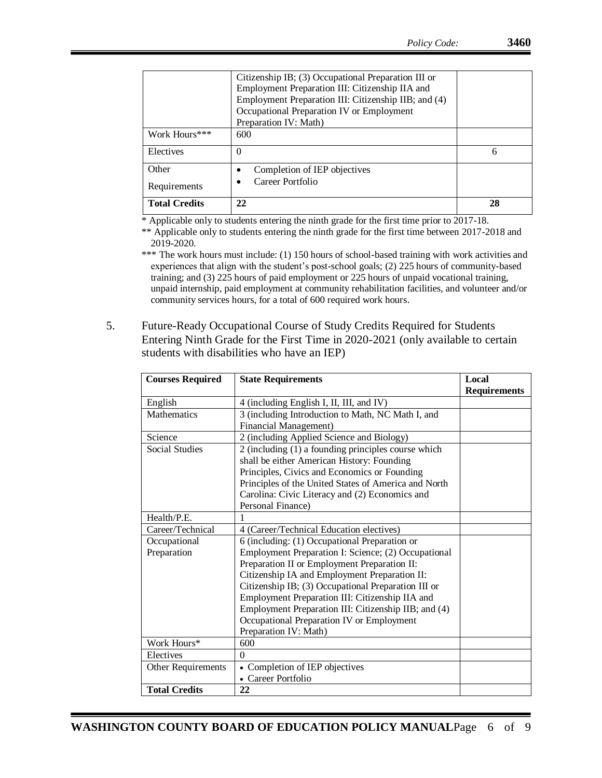| Requirements<br><b>Total Credits</b> | Career Portfolio<br>22                                                                                                                                                                                                               | 28 |
|--------------------------------------|--------------------------------------------------------------------------------------------------------------------------------------------------------------------------------------------------------------------------------------|----|
| Other                                | Completion of IEP objectives                                                                                                                                                                                                         |    |
| Electives                            | $\theta$                                                                                                                                                                                                                             | 6  |
| Work Hours***                        | 600                                                                                                                                                                                                                                  |    |
|                                      | Citizenship IB; (3) Occupational Preparation III or<br>Employment Preparation III: Citizenship IIA and<br>Employment Preparation III: Citizenship IIB; and (4)<br>Occupational Preparation IV or Employment<br>Preparation IV: Math) |    |

\* Applicable only to students entering the ninth grade for the first time prior to 2017-18.

\*\* Applicable only to students entering the ninth grade for the first time between 2017-2018 and 2019-2020.

\*\*\* The work hours must include: (1) 150 hours of school-based training with work activities and experiences that align with the student's post-school goals; (2) 225 hours of community-based training; and (3) 225 hours of paid employment or 225 hours of unpaid vocational training, unpaid internship, paid employment at community rehabilitation facilities, and volunteer and/or community services hours, for a total of 600 required work hours.

5. Future-Ready Occupational Course of Study Credits Required for Students Entering Ninth Grade for the First Time in 2020-2021 (only available to certain students with disabilities who have an IEP)

| <b>Courses Required</b> | <b>State Requirements</b>                            | Local               |
|-------------------------|------------------------------------------------------|---------------------|
|                         |                                                      | <b>Requirements</b> |
| English                 | 4 (including English I, II, III, and IV)             |                     |
| Mathematics             | 3 (including Introduction to Math, NC Math I, and    |                     |
|                         | <b>Financial Management)</b>                         |                     |
| Science                 | 2 (including Applied Science and Biology)            |                     |
| <b>Social Studies</b>   | 2 (including (1) a founding principles course which  |                     |
|                         | shall be either American History: Founding           |                     |
|                         | Principles, Civics and Economics or Founding         |                     |
|                         | Principles of the United States of America and North |                     |
|                         | Carolina: Civic Literacy and (2) Economics and       |                     |
|                         | Personal Finance)                                    |                     |
| Health/P.E.             |                                                      |                     |
| Career/Technical        | 4 (Career/Technical Education electives)             |                     |
| Occupational            | 6 (including: (1) Occupational Preparation or        |                     |
| Preparation             | Employment Preparation I: Science; (2) Occupational  |                     |
|                         | Preparation II or Employment Preparation II:         |                     |
|                         | Citizenship IA and Employment Preparation II:        |                     |
|                         | Citizenship IB; (3) Occupational Preparation III or  |                     |
|                         | Employment Preparation III: Citizenship IIA and      |                     |
|                         | Employment Preparation III: Citizenship IIB; and (4) |                     |
|                         | Occupational Preparation IV or Employment            |                     |
|                         | Preparation IV: Math)                                |                     |
| Work Hours*             | 600                                                  |                     |
| Electives               | $\theta$                                             |                     |
| Other Requirements      | Completion of IEP objectives                         |                     |
|                         | • Career Portfolio                                   |                     |
| <b>Total Credits</b>    | 22                                                   |                     |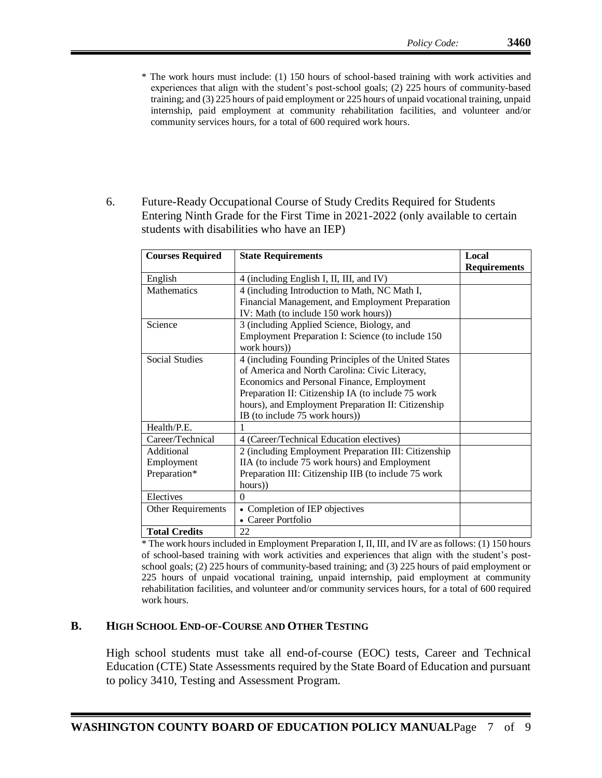- \* The work hours must include: (1) 150 hours of school-based training with work activities and experiences that align with the student's post-school goals; (2) 225 hours of community-based training; and (3) 225 hours of paid employment or 225 hours of unpaid vocational training, unpaid internship, paid employment at community rehabilitation facilities, and volunteer and/or community services hours, for a total of 600 required work hours.
- 6. Future-Ready Occupational Course of Study Credits Required for Students Entering Ninth Grade for the First Time in 2021-2022 (only available to certain students with disabilities who have an IEP)

| <b>Courses Required</b> | <b>State Requirements</b>                              | Local               |
|-------------------------|--------------------------------------------------------|---------------------|
|                         |                                                        | <b>Requirements</b> |
| English                 | 4 (including English I, II, III, and IV)               |                     |
| Mathematics             | 4 (including Introduction to Math, NC Math I,          |                     |
|                         | Financial Management, and Employment Preparation       |                     |
|                         | IV: Math (to include 150 work hours))                  |                     |
| Science                 | 3 (including Applied Science, Biology, and             |                     |
|                         | Employment Preparation I: Science (to include 150)     |                     |
|                         | work hours))                                           |                     |
| <b>Social Studies</b>   | 4 (including Founding Principles of the United States) |                     |
|                         | of America and North Carolina: Civic Literacy,         |                     |
|                         | Economics and Personal Finance, Employment             |                     |
|                         | Preparation II: Citizenship IA (to include 75 work     |                     |
|                         | hours), and Employment Preparation II: Citizenship     |                     |
|                         | IB (to include 75 work hours))                         |                     |
| Health/P.E.             |                                                        |                     |
| Career/Technical        | 4 (Career/Technical Education electives)               |                     |
| Additional              | 2 (including Employment Preparation III: Citizenship   |                     |
| Employment              | IIA (to include 75 work hours) and Employment          |                     |
| Preparation*            | Preparation III: Citizenship IIB (to include 75 work   |                     |
|                         | hours))                                                |                     |
| Electives               | $\theta$                                               |                     |
| Other Requirements      | Completion of IEP objectives                           |                     |
|                         | Career Portfolio                                       |                     |
| <b>Total Credits</b>    | 22                                                     |                     |

\* The work hours included in Employment Preparation I, II, III, and IV are as follows: (1) 150 hours of school-based training with work activities and experiences that align with the student's postschool goals; (2) 225 hours of community-based training; and (3) 225 hours of paid employment or 225 hours of unpaid vocational training, unpaid internship, paid employment at community rehabilitation facilities, and volunteer and/or community services hours, for a total of 600 required work hours.

## **B. HIGH SCHOOL END-OF-COURSE AND OTHER TESTING**

High school students must take all end-of-course (EOC) tests, Career and Technical Education (CTE) State Assessments required by the State Board of Education and pursuant to policy 3410, Testing and Assessment Program.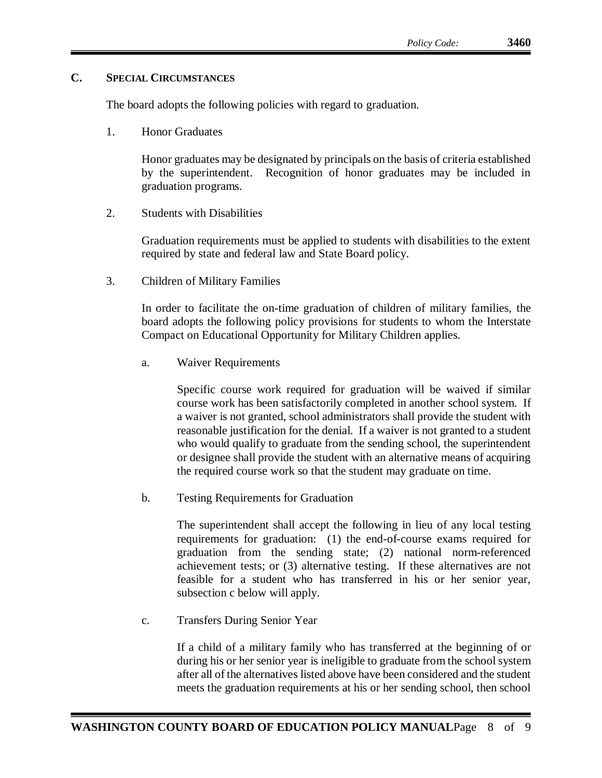## **C. SPECIAL CIRCUMSTANCES**

The board adopts the following policies with regard to graduation.

1. Honor Graduates

Honor graduates may be designated by principals on the basis of criteria established by the superintendent. Recognition of honor graduates may be included in graduation programs.

2. Students with Disabilities

Graduation requirements must be applied to students with disabilities to the extent required by state and federal law and State Board policy.

3. Children of Military Families

In order to facilitate the on-time graduation of children of military families, the board adopts the following policy provisions for students to whom the Interstate Compact on Educational Opportunity for Military Children applies.

a. Waiver Requirements

Specific course work required for graduation will be waived if similar course work has been satisfactorily completed in another school system. If a waiver is not granted, school administrators shall provide the student with reasonable justification for the denial. If a waiver is not granted to a student who would qualify to graduate from the sending school, the superintendent or designee shall provide the student with an alternative means of acquiring the required course work so that the student may graduate on time.

b. Testing Requirements for Graduation

The superintendent shall accept the following in lieu of any local testing requirements for graduation: (1) the end-of-course exams required for graduation from the sending state; (2) national norm-referenced achievement tests; or (3) alternative testing. If these alternatives are not feasible for a student who has transferred in his or her senior year, subsection c below will apply.

c. Transfers During Senior Year

If a child of a military family who has transferred at the beginning of or during his or her senior year is ineligible to graduate from the school system after all of the alternatives listed above have been considered and the student meets the graduation requirements at his or her sending school, then school